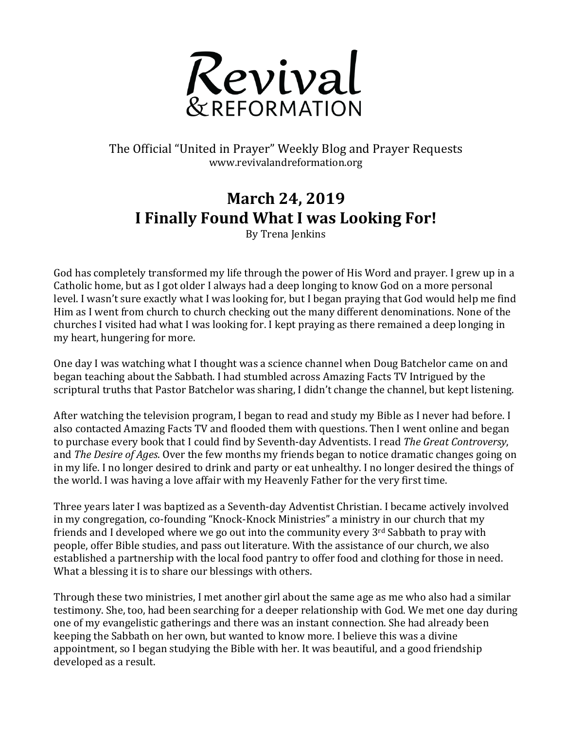

The Official "United in Prayer" Weekly Blog and Prayer Requests www.revivalandreformation.org

## **March 24, 2019 I Finally Found What I was Looking For!**

By Trena Ienkins

God has completely transformed my life through the power of His Word and prayer. I grew up in a Catholic home, but as I got older I always had a deep longing to know God on a more personal level. I wasn't sure exactly what I was looking for, but I began praying that God would help me find Him as I went from church to church checking out the many different denominations. None of the churches I visited had what I was looking for. I kept praying as there remained a deep longing in my heart, hungering for more.

One day I was watching what I thought was a science channel when Doug Batchelor came on and began teaching about the Sabbath. I had stumbled across Amazing Facts TV Intrigued by the scriptural truths that Pastor Batchelor was sharing, I didn't change the channel, but kept listening.

After watching the television program, I began to read and study my Bible as I never had before. I also contacted Amazing Facts TV and flooded them with questions. Then I went online and began to purchase every book that I could find by Seventh-day Adventists. I read *The Great Controversy*, and *The Desire of Ages*. Over the few months my friends began to notice dramatic changes going on in my life. I no longer desired to drink and party or eat unhealthy. I no longer desired the things of the world. I was having a love affair with my Heavenly Father for the very first time.

Three years later I was baptized as a Seventh-day Adventist Christian. I became actively involved in my congregation, co-founding "Knock-Knock Ministries" a ministry in our church that my friends and I developed where we go out into the community every  $3<sup>rd</sup>$  Sabbath to pray with people, offer Bible studies, and pass out literature. With the assistance of our church, we also established a partnership with the local food pantry to offer food and clothing for those in need. What a blessing it is to share our blessings with others.

Through these two ministries, I met another girl about the same age as me who also had a similar testimony. She, too, had been searching for a deeper relationship with God. We met one day during one of my evangelistic gatherings and there was an instant connection. She had already been keeping the Sabbath on her own, but wanted to know more. I believe this was a divine appointment, so I began studying the Bible with her. It was beautiful, and a good friendship developed as a result.